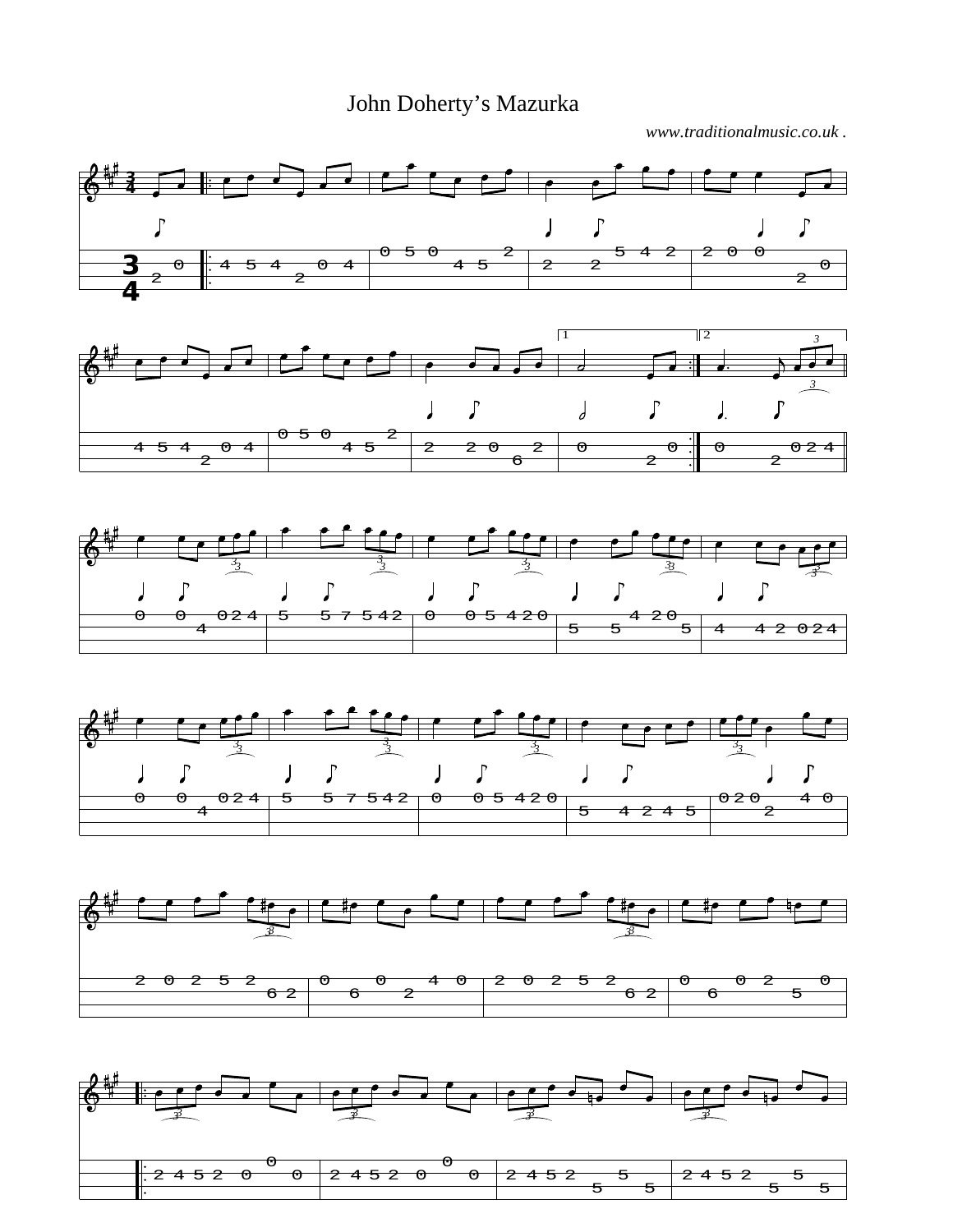John Doherty's Mazurka

*www.traditionalmusic.co.uk .*